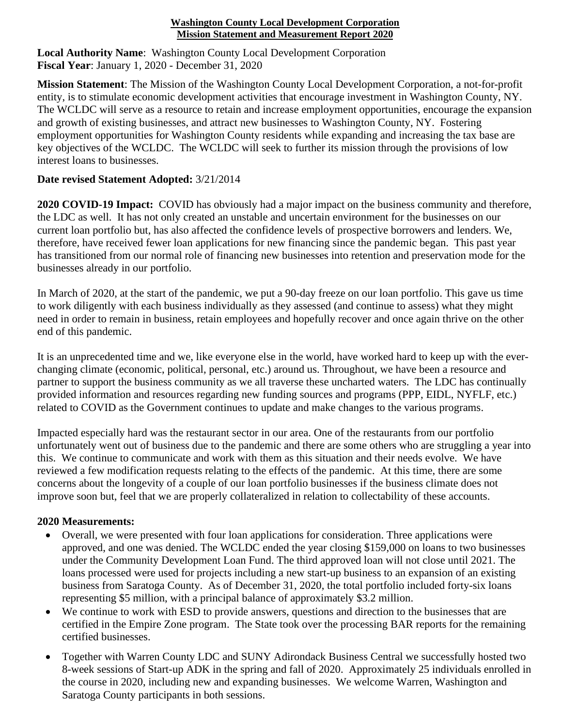## **Washington County Local Development Corporation Mission Statement and Measurement Report 2020**

**Local Authority Name**: Washington County Local Development Corporation **Fiscal Year**: January 1, 2020 - December 31, 2020

**Mission Statement**: The Mission of the Washington County Local Development Corporation, a not-for-profit entity, is to stimulate economic development activities that encourage investment in Washington County, NY. The WCLDC will serve as a resource to retain and increase employment opportunities, encourage the expansion and growth of existing businesses, and attract new businesses to Washington County, NY. Fostering employment opportunities for Washington County residents while expanding and increasing the tax base are key objectives of the WCLDC. The WCLDC will seek to further its mission through the provisions of low interest loans to businesses.

## **Date revised Statement Adopted:** 3/21/2014

**2020 COVID-19 Impact:** COVID has obviously had a major impact on the business community and therefore, the LDC as well. It has not only created an unstable and uncertain environment for the businesses on our current loan portfolio but, has also affected the confidence levels of prospective borrowers and lenders. We, therefore, have received fewer loan applications for new financing since the pandemic began. This past year has transitioned from our normal role of financing new businesses into retention and preservation mode for the businesses already in our portfolio.

In March of 2020, at the start of the pandemic, we put a 90-day freeze on our loan portfolio. This gave us time to work diligently with each business individually as they assessed (and continue to assess) what they might need in order to remain in business, retain employees and hopefully recover and once again thrive on the other end of this pandemic.

It is an unprecedented time and we, like everyone else in the world, have worked hard to keep up with the everchanging climate (economic, political, personal, etc.) around us. Throughout, we have been a resource and partner to support the business community as we all traverse these uncharted waters. The LDC has continually provided information and resources regarding new funding sources and programs (PPP, EIDL, NYFLF, etc.) related to COVID as the Government continues to update and make changes to the various programs.

Impacted especially hard was the restaurant sector in our area. One of the restaurants from our portfolio unfortunately went out of business due to the pandemic and there are some others who are struggling a year into this. We continue to communicate and work with them as this situation and their needs evolve. We have reviewed a few modification requests relating to the effects of the pandemic. At this time, there are some concerns about the longevity of a couple of our loan portfolio businesses if the business climate does not improve soon but, feel that we are properly collateralized in relation to collectability of these accounts.

## **2020 Measurements:**

- Overall, we were presented with four loan applications for consideration. Three applications were approved, and one was denied. The WCLDC ended the year closing \$159,000 on loans to two businesses under the Community Development Loan Fund. The third approved loan will not close until 2021. The loans processed were used for projects including a new start-up business to an expansion of an existing business from Saratoga County. As of December 31, 2020, the total portfolio included forty-six loans representing \$5 million, with a principal balance of approximately \$3.2 million.
- We continue to work with ESD to provide answers, questions and direction to the businesses that are certified in the Empire Zone program. The State took over the processing BAR reports for the remaining certified businesses.
- Together with Warren County LDC and SUNY Adirondack Business Central we successfully hosted two 8-week sessions of Start-up ADK in the spring and fall of 2020. Approximately 25 individuals enrolled in the course in 2020, including new and expanding businesses. We welcome Warren, Washington and Saratoga County participants in both sessions.